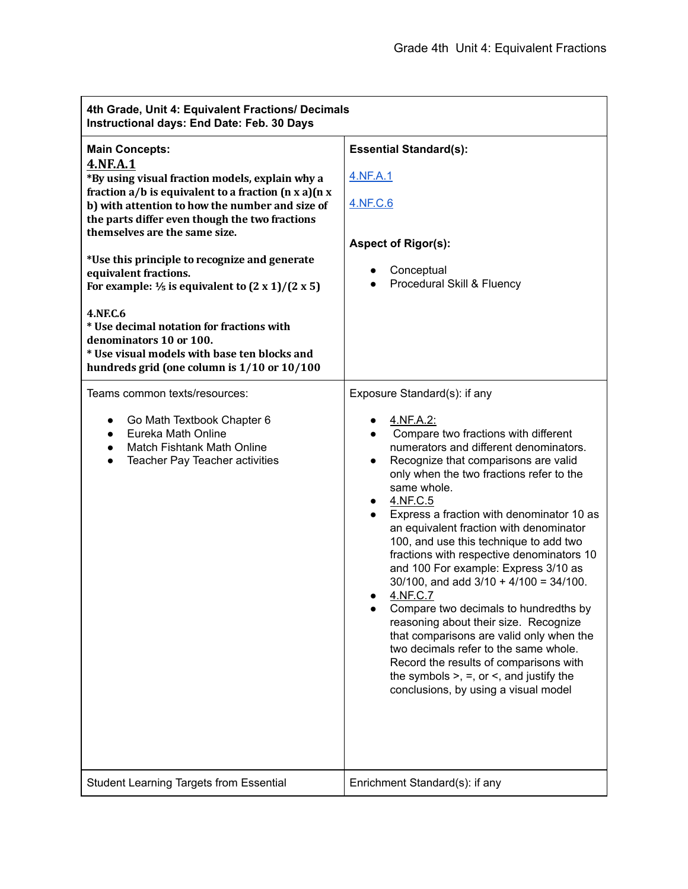| 4th Grade, Unit 4: Equivalent Fractions/ Decimals<br>Instructional days: End Date: Feb. 30 Days                                                                                                                                                                                                                                                                                                                                                                                                                                                                                                                                                           |                                                                                                                                                                                                                                                                                                                                                                                                                                                                                                                                                                                                                                                                                                                                                                                                                                                                        |  |
|-----------------------------------------------------------------------------------------------------------------------------------------------------------------------------------------------------------------------------------------------------------------------------------------------------------------------------------------------------------------------------------------------------------------------------------------------------------------------------------------------------------------------------------------------------------------------------------------------------------------------------------------------------------|------------------------------------------------------------------------------------------------------------------------------------------------------------------------------------------------------------------------------------------------------------------------------------------------------------------------------------------------------------------------------------------------------------------------------------------------------------------------------------------------------------------------------------------------------------------------------------------------------------------------------------------------------------------------------------------------------------------------------------------------------------------------------------------------------------------------------------------------------------------------|--|
| <b>Main Concepts:</b><br><b>4.NF.A.1</b><br>*By using visual fraction models, explain why a<br>fraction $a/b$ is equivalent to a fraction $(n \times a)(n \times a)$<br>b) with attention to how the number and size of<br>the parts differ even though the two fractions<br>themselves are the same size.<br>*Use this principle to recognize and generate<br>equivalent fractions.<br>For example: $\frac{1}{5}$ is equivalent to $(2 \times 1)/(2 \times 5)$<br><b>4.NF.C.6</b><br>* Use decimal notation for fractions with<br>denominators 10 or 100.<br>* Use visual models with base ten blocks and<br>hundreds grid (one column is 1/10 or 10/100 | <b>Essential Standard(s):</b><br>4.NF.A.1<br>4.NF.C.6<br><b>Aspect of Rigor(s):</b><br>Conceptual<br>Procedural Skill & Fluency                                                                                                                                                                                                                                                                                                                                                                                                                                                                                                                                                                                                                                                                                                                                        |  |
| Teams common texts/resources:<br>Go Math Textbook Chapter 6<br>Eureka Math Online<br>$\bullet$<br>Match Fishtank Math Online<br>Teacher Pay Teacher activities<br>$\bullet$                                                                                                                                                                                                                                                                                                                                                                                                                                                                               | Exposure Standard(s): if any<br>4.NF.A.2:<br>Compare two fractions with different<br>numerators and different denominators.<br>Recognize that comparisons are valid<br>$\bullet$<br>only when the two fractions refer to the<br>same whole.<br>4.NF.C.5<br>$\bullet$<br>Express a fraction with denominator 10 as<br>an equivalent fraction with denominator<br>100, and use this technique to add two<br>fractions with respective denominators 10<br>and 100 For example: Express 3/10 as<br>$30/100$ , and add $3/10 + 4/100 = 34/100$ .<br>4.NF.C.7<br>Compare two decimals to hundredths by<br>reasoning about their size. Recognize<br>that comparisons are valid only when the<br>two decimals refer to the same whole.<br>Record the results of comparisons with<br>the symbols $>$ , $=$ , or $\le$ , and justify the<br>conclusions, by using a visual model |  |
| <b>Student Learning Targets from Essential</b>                                                                                                                                                                                                                                                                                                                                                                                                                                                                                                                                                                                                            | Enrichment Standard(s): if any                                                                                                                                                                                                                                                                                                                                                                                                                                                                                                                                                                                                                                                                                                                                                                                                                                         |  |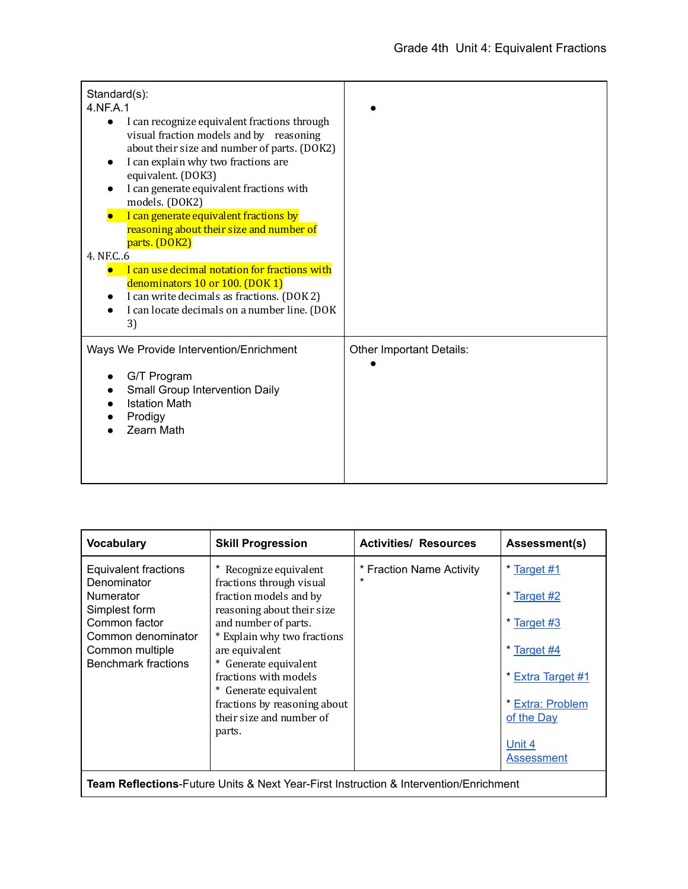| Standard(s):<br>4.NF.A.1<br>I can recognize equivalent fractions through<br>$\bullet$<br>visual fraction models and by reasoning<br>about their size and number of parts. (DOK2)<br>I can explain why two fractions are<br>equivalent. (DOK3)<br>I can generate equivalent fractions with<br>models. (DOK2) |                          |
|-------------------------------------------------------------------------------------------------------------------------------------------------------------------------------------------------------------------------------------------------------------------------------------------------------------|--------------------------|
| I can generate equivalent fractions by<br>reasoning about their size and number of<br>parts. (DOK2)                                                                                                                                                                                                         |                          |
| 4. NF.C., 6<br>I can use decimal notation for fractions with<br>denominators 10 or 100. (DOK 1)<br>I can write decimals as fractions. (DOK 2)<br>I can locate decimals on a number line. (DOK<br>3)                                                                                                         |                          |
| Ways We Provide Intervention/Enrichment<br>G/T Program<br>Small Group Intervention Daily<br><b>Istation Math</b><br>Prodigy<br>Zearn Math                                                                                                                                                                   | Other Important Details: |

| <b>Vocabulary</b>                                                                  | <b>Skill Progression</b>                                                                                                                                                             | <b>Activities/ Resources</b>                                                                  | Assessment(s)                                                      |
|------------------------------------------------------------------------------------|--------------------------------------------------------------------------------------------------------------------------------------------------------------------------------------|-----------------------------------------------------------------------------------------------|--------------------------------------------------------------------|
| Equivalent fractions<br>Denominator<br>Numerator<br>Simplest form<br>Common factor | Recognize equivalent<br>fractions through visual<br>fraction models and by<br>reasoning about their size<br>and number of parts.                                                     | * Fraction Name Activity<br>$\star$                                                           | * Target #1<br>* Target #2<br>* Target #3                          |
| Common denominator<br>Common multiple<br><b>Benchmark fractions</b>                | * Explain why two fractions<br>are equivalent<br>* Generate equivalent<br>fractions with models<br>* Generate equivalent<br>fractions by reasoning about<br>their size and number of |                                                                                               | * Target #4<br>* Extra Target #1<br>* Extra: Problem<br>of the Day |
|                                                                                    | parts.                                                                                                                                                                               | <b>Team Reflections-</b> Future Units & Next Year-First Instruction & Intervention/Enrichment | Unit 4<br>Assessment                                               |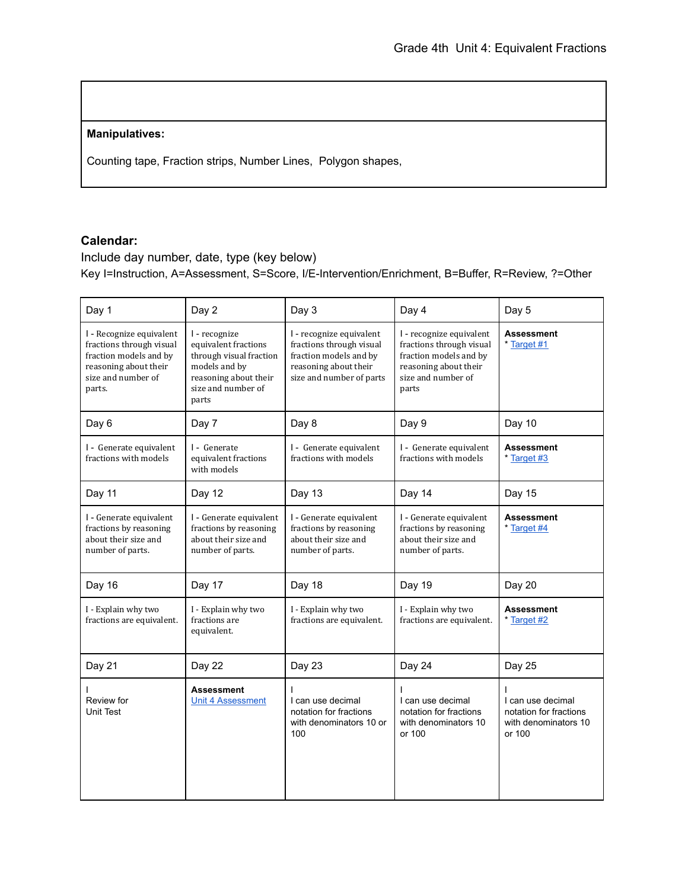## **Manipulatives:**

Counting tape, Fraction strips, Number Lines, Polygon shapes,

## **Calendar:**

Include day number, date, type (key below) Key I=Instruction, A=Assessment, S=Score, I/E-Intervention/Enrichment, B=Buffer, R=Review, ?=Other

| Day 1                                                                                                                                   | Day 2                                                                                                                                     | Day 3                                                                                                                               | Day 4                                                                                                                                  | Day 5                                                                         |
|-----------------------------------------------------------------------------------------------------------------------------------------|-------------------------------------------------------------------------------------------------------------------------------------------|-------------------------------------------------------------------------------------------------------------------------------------|----------------------------------------------------------------------------------------------------------------------------------------|-------------------------------------------------------------------------------|
| I - Recognize equivalent<br>fractions through visual<br>fraction models and by<br>reasoning about their<br>size and number of<br>parts. | I - recognize<br>equivalent fractions<br>through visual fraction<br>models and by<br>reasoning about their<br>size and number of<br>parts | I - recognize equivalent<br>fractions through visual<br>fraction models and by<br>reasoning about their<br>size and number of parts | I - recognize equivalent<br>fractions through visual<br>fraction models and by<br>reasoning about their<br>size and number of<br>parts | <b>Assessment</b><br>* Target #1                                              |
| Day 6                                                                                                                                   | Day 7                                                                                                                                     | Day 8                                                                                                                               | Day 9                                                                                                                                  | Day 10                                                                        |
| I - Generate equivalent<br>fractions with models                                                                                        | I - Generate<br>equivalent fractions<br>with models                                                                                       | I - Generate equivalent<br>fractions with models                                                                                    | I - Generate equivalent<br>fractions with models                                                                                       | <b>Assessment</b><br>* Target #3                                              |
| Day 11                                                                                                                                  | Day 12                                                                                                                                    | Day 13                                                                                                                              | Day 14                                                                                                                                 | Day 15                                                                        |
| I - Generate equivalent<br>fractions by reasoning<br>about their size and<br>number of parts.                                           | I - Generate equivalent<br>fractions by reasoning<br>about their size and<br>number of parts.                                             | I - Generate equivalent<br>fractions by reasoning<br>about their size and<br>number of parts.                                       | I - Generate equivalent<br>fractions by reasoning<br>about their size and<br>number of parts.                                          | <b>Assessment</b><br>* Target #4                                              |
| Day 16                                                                                                                                  | Day 17                                                                                                                                    | Day 18                                                                                                                              | Day 19                                                                                                                                 | Day 20                                                                        |
| I - Explain why two<br>fractions are equivalent.                                                                                        | I - Explain why two<br>fractions are<br>equivalent.                                                                                       | I - Explain why two<br>fractions are equivalent.                                                                                    | I - Explain why two<br>fractions are equivalent.                                                                                       | <b>Assessment</b><br>* Target #2                                              |
| Day 21                                                                                                                                  | Day 22                                                                                                                                    | Day 23                                                                                                                              | Day 24                                                                                                                                 | Day 25                                                                        |
| Review for<br><b>Unit Test</b>                                                                                                          | <b>Assessment</b><br><b>Unit 4 Assessment</b>                                                                                             | I can use decimal<br>notation for fractions<br>with denominators 10 or<br>100                                                       | I can use decimal<br>notation for fractions<br>with denominators 10<br>or 100                                                          | I can use decimal<br>notation for fractions<br>with denominators 10<br>or 100 |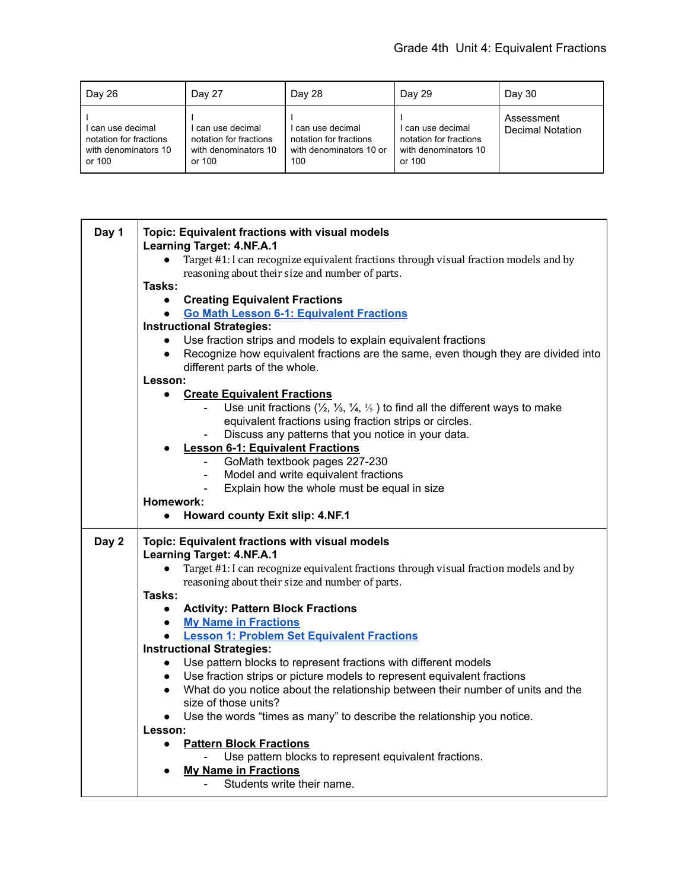| Day 26                                                                      | Day 27                                                                        | Day 28                                                                      | Day 29                                                                        | Day 30                                |
|-----------------------------------------------------------------------------|-------------------------------------------------------------------------------|-----------------------------------------------------------------------------|-------------------------------------------------------------------------------|---------------------------------------|
| can use decimal<br>notation for fractions<br>with denominators 10<br>or 100 | ' can use decimal<br>notation for fractions<br>with denominators 10<br>or 100 | can use decimal<br>notation for fractions<br>with denominators 10 or<br>100 | l can use decimal<br>notation for fractions<br>with denominators 10<br>or 100 | Assessment<br><b>Decimal Notation</b> |

| Day 1 | Topic: Equivalent fractions with visual models                                                                   |
|-------|------------------------------------------------------------------------------------------------------------------|
|       | <b>Learning Target: 4.NF.A.1</b>                                                                                 |
|       | Target #1: I can recognize equivalent fractions through visual fraction models and by<br>$\bullet$               |
|       | reasoning about their size and number of parts.                                                                  |
|       | Tasks:                                                                                                           |
|       | <b>Creating Equivalent Fractions</b><br>$\bullet$                                                                |
|       | <b>Go Math Lesson 6-1: Equivalent Fractions</b><br>$\bullet$                                                     |
|       | <b>Instructional Strategies:</b>                                                                                 |
|       | Use fraction strips and models to explain equivalent fractions                                                   |
|       | Recognize how equivalent fractions are the same, even though they are divided into<br>$\bullet$                  |
|       | different parts of the whole.                                                                                    |
|       | Lesson:                                                                                                          |
|       | <b>Create Equivalent Fractions</b><br>$\bullet$                                                                  |
|       | Use unit fractions $(\frac{1}{2}, \frac{1}{3}, \frac{1}{4}, \frac{1}{5})$ to find all the different ways to make |
|       | equivalent fractions using fraction strips or circles.                                                           |
|       | Discuss any patterns that you notice in your data.                                                               |
|       |                                                                                                                  |
|       | <b>Lesson 6-1: Equivalent Fractions</b><br>$\overline{a}$                                                        |
|       | GoMath textbook pages 227-230                                                                                    |
|       | Model and write equivalent fractions<br>$\blacksquare$                                                           |
|       | Explain how the whole must be equal in size                                                                      |
|       | Homework:                                                                                                        |
|       | Howard county Exit slip: 4.NF.1<br>$\bullet$                                                                     |
| Day 2 | Topic: Equivalent fractions with visual models                                                                   |
|       | <b>Learning Target: 4.NF.A.1</b>                                                                                 |
|       | Target #1: I can recognize equivalent fractions through visual fraction models and by<br>$\bullet$               |
|       | reasoning about their size and number of parts.                                                                  |
|       |                                                                                                                  |
|       |                                                                                                                  |
|       | Tasks:                                                                                                           |
|       | <b>Activity: Pattern Block Fractions</b><br>$\bullet$                                                            |
|       | • My Name in Fractions                                                                                           |
|       | <b>Lesson 1: Problem Set Equivalent Fractions</b>                                                                |
|       | <b>Instructional Strategies:</b>                                                                                 |
|       | Use pattern blocks to represent fractions with different models<br>$\bullet$                                     |
|       | Use fraction strips or picture models to represent equivalent fractions<br>$\bullet$                             |
|       | • What do you notice about the relationship between their number of units and the                                |
|       | size of those units?                                                                                             |
|       | Use the words "times as many" to describe the relationship you notice.<br>$\bullet$                              |
|       | Lesson:                                                                                                          |
|       | <b>Pattern Block Fractions</b><br>$\bullet$                                                                      |
|       | Use pattern blocks to represent equivalent fractions.                                                            |
|       | <b>My Name in Fractions</b>                                                                                      |
|       | Students write their name.                                                                                       |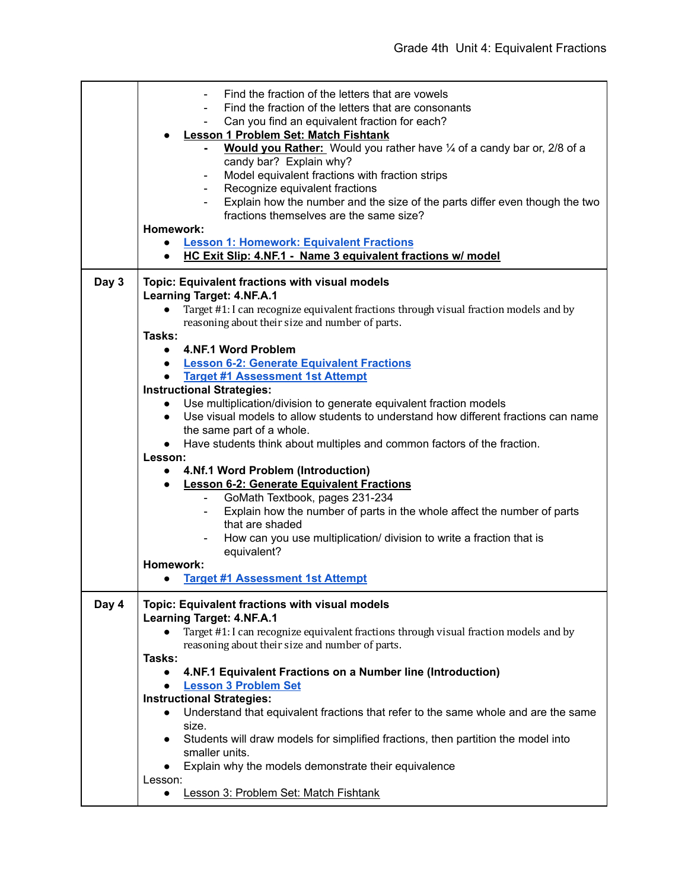|       | Find the fraction of the letters that are vowels<br>Find the fraction of the letters that are consonants<br>Can you find an equivalent fraction for each?<br><b>Lesson 1 Problem Set: Match Fishtank</b><br>Would you Rather: Would you rather have 1/4 of a candy bar or, 2/8 of a<br>candy bar? Explain why?<br>Model equivalent fractions with fraction strips<br>Recognize equivalent fractions<br>Explain how the number and the size of the parts differ even though the two<br>fractions themselves are the same size?<br>Homework:<br><b>Lesson 1: Homework: Equivalent Fractions</b><br>$\bullet$<br>HC Exit Slip: 4.NF.1 - Name 3 equivalent fractions w/ model<br>$\bullet$ |
|-------|----------------------------------------------------------------------------------------------------------------------------------------------------------------------------------------------------------------------------------------------------------------------------------------------------------------------------------------------------------------------------------------------------------------------------------------------------------------------------------------------------------------------------------------------------------------------------------------------------------------------------------------------------------------------------------------|
| Day 3 | Topic: Equivalent fractions with visual models                                                                                                                                                                                                                                                                                                                                                                                                                                                                                                                                                                                                                                         |
|       | <b>Learning Target: 4.NF.A.1</b>                                                                                                                                                                                                                                                                                                                                                                                                                                                                                                                                                                                                                                                       |
|       | Target #1: I can recognize equivalent fractions through visual fraction models and by<br>$\bullet$                                                                                                                                                                                                                                                                                                                                                                                                                                                                                                                                                                                     |
|       | reasoning about their size and number of parts.                                                                                                                                                                                                                                                                                                                                                                                                                                                                                                                                                                                                                                        |
|       | Tasks:                                                                                                                                                                                                                                                                                                                                                                                                                                                                                                                                                                                                                                                                                 |
|       | • 4.NF.1 Word Problem                                                                                                                                                                                                                                                                                                                                                                                                                                                                                                                                                                                                                                                                  |
|       | <b>Lesson 6-2: Generate Equivalent Fractions</b><br>$\bullet$                                                                                                                                                                                                                                                                                                                                                                                                                                                                                                                                                                                                                          |
|       | <b>Target #1 Assessment 1st Attempt</b>                                                                                                                                                                                                                                                                                                                                                                                                                                                                                                                                                                                                                                                |
|       | <b>Instructional Strategies:</b>                                                                                                                                                                                                                                                                                                                                                                                                                                                                                                                                                                                                                                                       |
|       | Use multiplication/division to generate equivalent fraction models<br>$\bullet$                                                                                                                                                                                                                                                                                                                                                                                                                                                                                                                                                                                                        |
|       | Use visual models to allow students to understand how different fractions can name<br>$\bullet$                                                                                                                                                                                                                                                                                                                                                                                                                                                                                                                                                                                        |
|       | the same part of a whole.                                                                                                                                                                                                                                                                                                                                                                                                                                                                                                                                                                                                                                                              |
|       | Have students think about multiples and common factors of the fraction.                                                                                                                                                                                                                                                                                                                                                                                                                                                                                                                                                                                                                |
|       | Lesson:                                                                                                                                                                                                                                                                                                                                                                                                                                                                                                                                                                                                                                                                                |
|       | 4.Nf.1 Word Problem (Introduction)<br>$\bullet$                                                                                                                                                                                                                                                                                                                                                                                                                                                                                                                                                                                                                                        |
|       | <b>Lesson 6-2: Generate Equivalent Fractions</b><br>$\bullet$<br>GoMath Textbook, pages 231-234<br>$\blacksquare$                                                                                                                                                                                                                                                                                                                                                                                                                                                                                                                                                                      |
|       | Explain how the number of parts in the whole affect the number of parts                                                                                                                                                                                                                                                                                                                                                                                                                                                                                                                                                                                                                |
|       | that are shaded                                                                                                                                                                                                                                                                                                                                                                                                                                                                                                                                                                                                                                                                        |
|       | How can you use multiplication/ division to write a fraction that is                                                                                                                                                                                                                                                                                                                                                                                                                                                                                                                                                                                                                   |
|       | equivalent?                                                                                                                                                                                                                                                                                                                                                                                                                                                                                                                                                                                                                                                                            |
|       | Homework:                                                                                                                                                                                                                                                                                                                                                                                                                                                                                                                                                                                                                                                                              |
|       | <b>Target #1 Assessment 1st Attempt</b><br>$\bullet$                                                                                                                                                                                                                                                                                                                                                                                                                                                                                                                                                                                                                                   |
| Day 4 | Topic: Equivalent fractions with visual models<br><b>Learning Target: 4.NF.A.1</b>                                                                                                                                                                                                                                                                                                                                                                                                                                                                                                                                                                                                     |
|       | Target #1: I can recognize equivalent fractions through visual fraction models and by                                                                                                                                                                                                                                                                                                                                                                                                                                                                                                                                                                                                  |
|       | reasoning about their size and number of parts.                                                                                                                                                                                                                                                                                                                                                                                                                                                                                                                                                                                                                                        |
|       | Tasks:                                                                                                                                                                                                                                                                                                                                                                                                                                                                                                                                                                                                                                                                                 |
|       | 4.NF.1 Equivalent Fractions on a Number line (Introduction)<br>$\bullet$                                                                                                                                                                                                                                                                                                                                                                                                                                                                                                                                                                                                               |
|       | <b>Lesson 3 Problem Set</b><br>$\bullet$                                                                                                                                                                                                                                                                                                                                                                                                                                                                                                                                                                                                                                               |
|       | <b>Instructional Strategies:</b>                                                                                                                                                                                                                                                                                                                                                                                                                                                                                                                                                                                                                                                       |
|       | Understand that equivalent fractions that refer to the same whole and are the same<br>$\bullet$                                                                                                                                                                                                                                                                                                                                                                                                                                                                                                                                                                                        |
|       | size.                                                                                                                                                                                                                                                                                                                                                                                                                                                                                                                                                                                                                                                                                  |
|       | Students will draw models for simplified fractions, then partition the model into<br>$\bullet$                                                                                                                                                                                                                                                                                                                                                                                                                                                                                                                                                                                         |
|       | smaller units.                                                                                                                                                                                                                                                                                                                                                                                                                                                                                                                                                                                                                                                                         |
|       | Explain why the models demonstrate their equivalence                                                                                                                                                                                                                                                                                                                                                                                                                                                                                                                                                                                                                                   |
|       | Lesson:                                                                                                                                                                                                                                                                                                                                                                                                                                                                                                                                                                                                                                                                                |
|       | Lesson 3: Problem Set: Match Fishtank<br>$\bullet$                                                                                                                                                                                                                                                                                                                                                                                                                                                                                                                                                                                                                                     |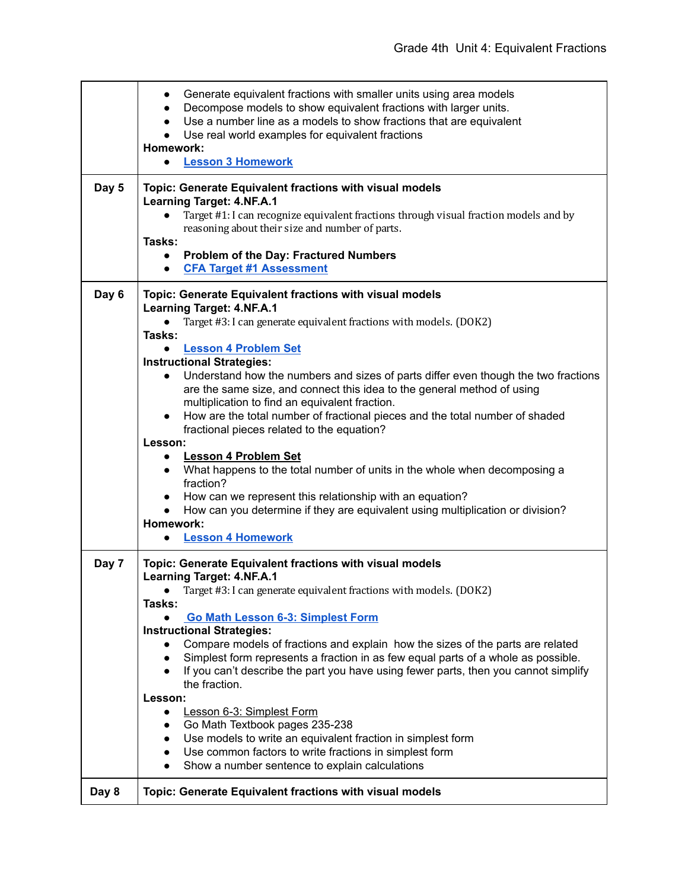|       | Generate equivalent fractions with smaller units using area models<br>$\bullet$<br>Decompose models to show equivalent fractions with larger units.<br>$\bullet$<br>Use a number line as a models to show fractions that are equivalent<br>Use real world examples for equivalent fractions<br>Homework:<br><b>Lesson 3 Homework</b>                                              |
|-------|-----------------------------------------------------------------------------------------------------------------------------------------------------------------------------------------------------------------------------------------------------------------------------------------------------------------------------------------------------------------------------------|
|       |                                                                                                                                                                                                                                                                                                                                                                                   |
| Day 5 | Topic: Generate Equivalent fractions with visual models<br><b>Learning Target: 4.NF.A.1</b><br>Target #1: I can recognize equivalent fractions through visual fraction models and by<br>reasoning about their size and number of parts.<br>Tasks:<br><b>Problem of the Day: Fractured Numbers</b><br>$\bullet$                                                                    |
|       | <b>CFA Target #1 Assessment</b><br>$\bullet$                                                                                                                                                                                                                                                                                                                                      |
|       |                                                                                                                                                                                                                                                                                                                                                                                   |
| Day 6 | Topic: Generate Equivalent fractions with visual models<br><b>Learning Target: 4.NF.A.1</b><br>Target #3: I can generate equivalent fractions with models. (DOK2)<br>Tasks:                                                                                                                                                                                                       |
|       | <b>Lesson 4 Problem Set</b>                                                                                                                                                                                                                                                                                                                                                       |
|       | <b>Instructional Strategies:</b><br>Understand how the numbers and sizes of parts differ even though the two fractions<br>are the same size, and connect this idea to the general method of using<br>multiplication to find an equivalent fraction.<br>How are the total number of fractional pieces and the total number of shaded<br>fractional pieces related to the equation? |
|       | Lesson:                                                                                                                                                                                                                                                                                                                                                                           |
|       | <b>Lesson 4 Problem Set</b><br>What happens to the total number of units in the whole when decomposing a<br>$\bullet$<br>fraction?                                                                                                                                                                                                                                                |
|       | How can we represent this relationship with an equation?<br>How can you determine if they are equivalent using multiplication or division?<br>Homework:                                                                                                                                                                                                                           |
|       | <b>Lesson 4 Homework</b>                                                                                                                                                                                                                                                                                                                                                          |
| Day 7 | Topic: Generate Equivalent fractions with visual models<br><b>Learning Target: 4.NF.A.1</b>                                                                                                                                                                                                                                                                                       |
|       | Target #3: I can generate equivalent fractions with models. (DOK2)                                                                                                                                                                                                                                                                                                                |
|       | Tasks:                                                                                                                                                                                                                                                                                                                                                                            |
|       | Go Math Lesson 6-3: Simplest Form                                                                                                                                                                                                                                                                                                                                                 |
|       | <b>Instructional Strategies:</b><br>Compare models of fractions and explain how the sizes of the parts are related                                                                                                                                                                                                                                                                |
|       | Simplest form represents a fraction in as few equal parts of a whole as possible.<br>$\bullet$                                                                                                                                                                                                                                                                                    |
|       | If you can't describe the part you have using fewer parts, then you cannot simplify                                                                                                                                                                                                                                                                                               |
|       | the fraction.<br>Lesson:                                                                                                                                                                                                                                                                                                                                                          |
|       | Lesson 6-3: Simplest Form                                                                                                                                                                                                                                                                                                                                                         |
|       | Go Math Textbook pages 235-238<br>$\bullet$                                                                                                                                                                                                                                                                                                                                       |
|       | Use models to write an equivalent fraction in simplest form<br>$\bullet$                                                                                                                                                                                                                                                                                                          |
|       | Use common factors to write fractions in simplest form<br>$\bullet$                                                                                                                                                                                                                                                                                                               |
|       | Show a number sentence to explain calculations<br>$\bullet$                                                                                                                                                                                                                                                                                                                       |
| Day 8 | Topic: Generate Equivalent fractions with visual models                                                                                                                                                                                                                                                                                                                           |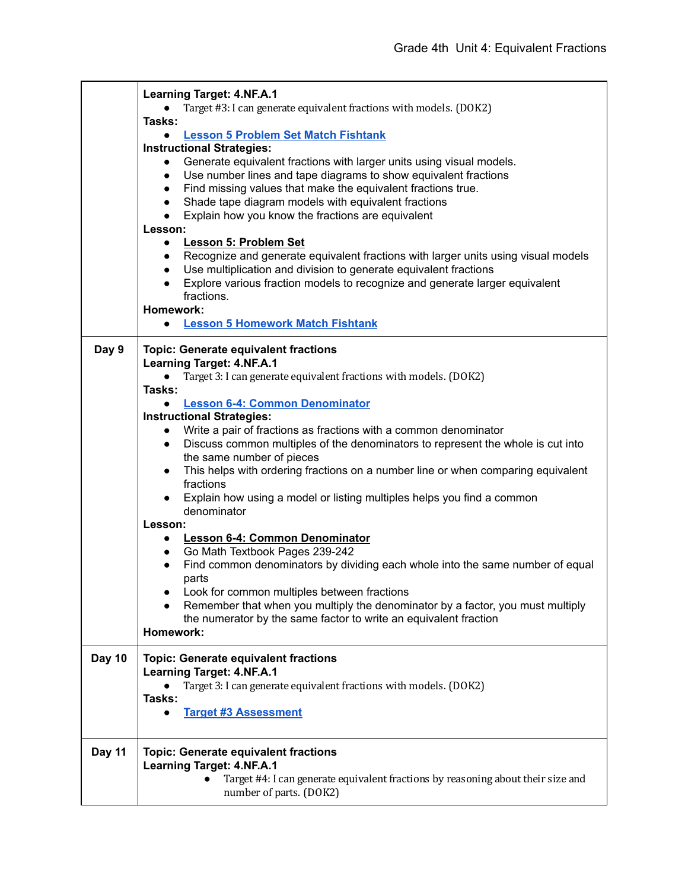|        | <b>Learning Target: 4.NF.A.1</b>                                                               |
|--------|------------------------------------------------------------------------------------------------|
|        | Target #3: I can generate equivalent fractions with models. (DOK2)                             |
|        | Tasks:                                                                                         |
|        | <b>Lesson 5 Problem Set Match Fishtank</b><br>$\bullet$                                        |
|        | <b>Instructional Strategies:</b>                                                               |
|        | Generate equivalent fractions with larger units using visual models.<br>$\bullet$              |
|        | Use number lines and tape diagrams to show equivalent fractions<br>$\bullet$                   |
|        | Find missing values that make the equivalent fractions true.<br>$\bullet$                      |
|        | Shade tape diagram models with equivalent fractions<br>$\bullet$                               |
|        | Explain how you know the fractions are equivalent<br>$\bullet$                                 |
|        | Lesson:                                                                                        |
|        | <b>Lesson 5: Problem Set</b><br>$\bullet$                                                      |
|        | Recognize and generate equivalent fractions with larger units using visual models<br>$\bullet$ |
|        | Use multiplication and division to generate equivalent fractions<br>$\bullet$                  |
|        | Explore various fraction models to recognize and generate larger equivalent<br>$\bullet$       |
|        | fractions.<br>Homework:                                                                        |
|        | <b>Lesson 5 Homework Match Fishtank</b>                                                        |
|        | $\bullet$                                                                                      |
| Day 9  | <b>Topic: Generate equivalent fractions</b>                                                    |
|        | <b>Learning Target: 4.NF.A.1</b>                                                               |
|        | Target 3: I can generate equivalent fractions with models. (DOK2)                              |
|        | Tasks:                                                                                         |
|        | <b>Lesson 6-4: Common Denominator</b><br>$\bullet$                                             |
|        | <b>Instructional Strategies:</b>                                                               |
|        | Write a pair of fractions as fractions with a common denominator<br>$\bullet$                  |
|        | Discuss common multiples of the denominators to represent the whole is cut into<br>$\bullet$   |
|        | the same number of pieces                                                                      |
|        | This helps with ordering fractions on a number line or when comparing equivalent<br>$\bullet$  |
|        | fractions                                                                                      |
|        | Explain how using a model or listing multiples helps you find a common                         |
|        | denominator                                                                                    |
|        | Lesson:                                                                                        |
|        | <b>Lesson 6-4: Common Denominator</b><br>$\bullet$                                             |
|        | Go Math Textbook Pages 239-242<br>$\bullet$                                                    |
|        | Find common denominators by dividing each whole into the same number of equal                  |
|        | parts                                                                                          |
|        | Look for common multiples between fractions                                                    |
|        | Remember that when you multiply the denominator by a factor, you must multiply                 |
|        | the numerator by the same factor to write an equivalent fraction                               |
|        | Homework:                                                                                      |
| Day 10 | <b>Topic: Generate equivalent fractions</b>                                                    |
|        | <b>Learning Target: 4.NF.A.1</b>                                                               |
|        | Target 3: I can generate equivalent fractions with models. (DOK2)                              |
|        | Tasks:                                                                                         |
|        | <b>Target #3 Assessment</b>                                                                    |
|        |                                                                                                |
|        |                                                                                                |
| Day 11 | <b>Topic: Generate equivalent fractions</b>                                                    |
|        | <b>Learning Target: 4.NF.A.1</b>                                                               |
|        | Target #4: I can generate equivalent fractions by reasoning about their size and               |
|        | number of parts. (DOK2)                                                                        |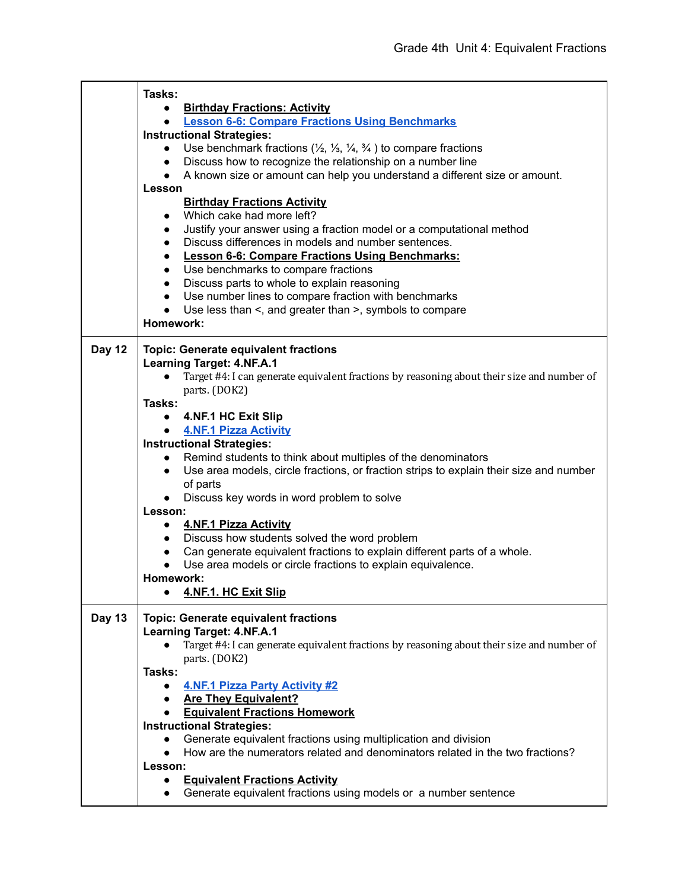|               | Tasks:                                                                                                           |
|---------------|------------------------------------------------------------------------------------------------------------------|
|               | <b>Birthday Fractions: Activity</b><br>$\bullet$                                                                 |
|               | <b>Lesson 6-6: Compare Fractions Using Benchmarks</b><br>$\bullet$                                               |
|               | <b>Instructional Strategies:</b>                                                                                 |
|               | Use benchmark fractions $(\frac{1}{2}, \frac{1}{3}, \frac{1}{4}, \frac{3}{4})$ to compare fractions<br>$\bullet$ |
|               | Discuss how to recognize the relationship on a number line<br>$\bullet$                                          |
|               | A known size or amount can help you understand a different size or amount.<br>$\bullet$                          |
|               | Lesson                                                                                                           |
|               | <b>Birthday Fractions Activity</b>                                                                               |
|               | Which cake had more left?<br>$\bullet$                                                                           |
|               | Justify your answer using a fraction model or a computational method<br>$\bullet$                                |
|               | Discuss differences in models and number sentences.<br>$\bullet$                                                 |
|               | <b>Lesson 6-6: Compare Fractions Using Benchmarks:</b><br>$\bullet$                                              |
|               | Use benchmarks to compare fractions<br>$\bullet$                                                                 |
|               | Discuss parts to whole to explain reasoning<br>$\bullet$                                                         |
|               | Use number lines to compare fraction with benchmarks<br>$\bullet$                                                |
|               | Use less than <, and greater than >, symbols to compare<br>$\bullet$                                             |
|               | Homework:                                                                                                        |
|               |                                                                                                                  |
| Day 12        | <b>Topic: Generate equivalent fractions</b>                                                                      |
|               | <b>Learning Target: 4.NF.A.1</b>                                                                                 |
|               | Target #4: I can generate equivalent fractions by reasoning about their size and number of<br>$\bullet$          |
|               | parts. (DOK2)                                                                                                    |
|               | Tasks:                                                                                                           |
|               | • 4.NF.1 HC Exit Slip                                                                                            |
|               | • 4.NF.1 Pizza Activity                                                                                          |
|               | <b>Instructional Strategies:</b>                                                                                 |
|               | Remind students to think about multiples of the denominators<br>$\bullet$                                        |
|               | Use area models, circle fractions, or fraction strips to explain their size and number<br>$\bullet$              |
|               | of parts                                                                                                         |
|               | Discuss key words in word problem to solve<br>$\bullet$                                                          |
|               | Lesson:                                                                                                          |
|               | • 4.NF.1 Pizza Activity                                                                                          |
|               | • Discuss how students solved the word problem                                                                   |
|               | Can generate equivalent fractions to explain different parts of a whole.<br>$\bullet$                            |
|               | Use area models or circle fractions to explain equivalence.                                                      |
|               | Homework:                                                                                                        |
|               | 4.NF.1. HC Exit Slip                                                                                             |
| <b>Day 13</b> | <b>Topic: Generate equivalent fractions</b>                                                                      |
|               | <b>Learning Target: 4.NF.A.1</b>                                                                                 |
|               | Target #4: I can generate equivalent fractions by reasoning about their size and number of                       |
|               | parts. (DOK2)                                                                                                    |
|               | Tasks:                                                                                                           |
|               | <b>4.NF.1 Pizza Party Activity #2</b><br>$\bullet$                                                               |
|               | <b>Are They Equivalent?</b><br>$\bullet$                                                                         |
|               | <b>Equivalent Fractions Homework</b>                                                                             |
|               | <b>Instructional Strategies:</b>                                                                                 |
|               | Generate equivalent fractions using multiplication and division                                                  |
|               | How are the numerators related and denominators related in the two fractions?                                    |
|               | Lesson:                                                                                                          |
|               | <b>Equivalent Fractions Activity</b><br>$\bullet$                                                                |
|               | Generate equivalent fractions using models or a number sentence<br>$\bullet$                                     |
|               |                                                                                                                  |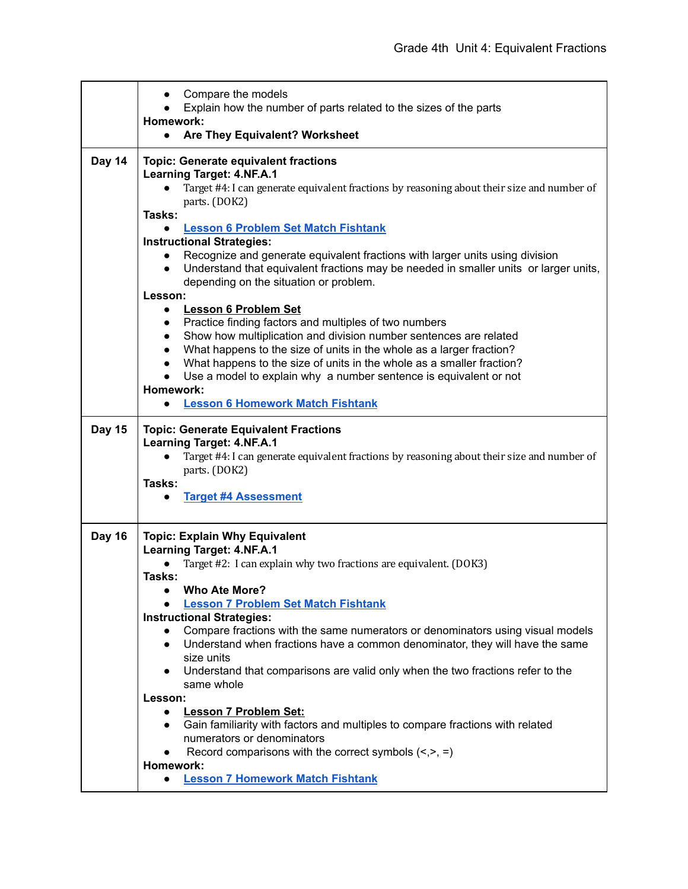|               | Compare the models                                                                                                                                                                             |
|---------------|------------------------------------------------------------------------------------------------------------------------------------------------------------------------------------------------|
|               | Explain how the number of parts related to the sizes of the parts<br>Homework:                                                                                                                 |
|               | Are They Equivalent? Worksheet<br>$\bullet$                                                                                                                                                    |
| Day 14        | <b>Topic: Generate equivalent fractions</b>                                                                                                                                                    |
|               | <b>Learning Target: 4.NF.A.1</b><br>Target #4: I can generate equivalent fractions by reasoning about their size and number of                                                                 |
|               | parts. (DOK2)                                                                                                                                                                                  |
|               | Tasks:                                                                                                                                                                                         |
|               | <b>Lesson 6 Problem Set Match Fishtank</b><br>$\bullet$                                                                                                                                        |
|               | <b>Instructional Strategies:</b>                                                                                                                                                               |
|               | Recognize and generate equivalent fractions with larger units using division<br>$\bullet$<br>Understand that equivalent fractions may be needed in smaller units or larger units,<br>$\bullet$ |
|               | depending on the situation or problem.                                                                                                                                                         |
|               | Lesson:                                                                                                                                                                                        |
|               | <b>Lesson 6 Problem Set</b><br>$\bullet$                                                                                                                                                       |
|               | Practice finding factors and multiples of two numbers<br>$\bullet$                                                                                                                             |
|               | Show how multiplication and division number sentences are related<br>$\bullet$<br>What happens to the size of units in the whole as a larger fraction?                                         |
|               | $\bullet$<br>What happens to the size of units in the whole as a smaller fraction?<br>$\bullet$                                                                                                |
|               | Use a model to explain why a number sentence is equivalent or not<br>$\bullet$                                                                                                                 |
|               | Homework:                                                                                                                                                                                      |
|               | <b>Lesson 6 Homework Match Fishtank</b><br>$\bullet$                                                                                                                                           |
| <b>Day 15</b> | <b>Topic: Generate Equivalent Fractions</b>                                                                                                                                                    |
|               | <b>Learning Target: 4.NF.A.1</b>                                                                                                                                                               |
|               | Target #4: I can generate equivalent fractions by reasoning about their size and number of<br>$\bullet$                                                                                        |
|               | parts. (DOK2)<br>Tasks:                                                                                                                                                                        |
|               | <b>Target #4 Assessment</b><br>$\bullet$                                                                                                                                                       |
|               |                                                                                                                                                                                                |
| <b>Day 16</b> | <b>Topic: Explain Why Equivalent</b>                                                                                                                                                           |
|               | <b>Learning Target: 4.NF.A.1</b>                                                                                                                                                               |
|               | Target #2: I can explain why two fractions are equivalent. (DOK3)<br>Tasks:                                                                                                                    |
|               | <b>Who Ate More?</b>                                                                                                                                                                           |
|               | <b>Lesson 7 Problem Set Match Fishtank</b>                                                                                                                                                     |
|               | <b>Instructional Strategies:</b>                                                                                                                                                               |
|               | Compare fractions with the same numerators or denominators using visual models                                                                                                                 |
|               | Understand when fractions have a common denominator, they will have the same<br>$\bullet$<br>size units                                                                                        |
|               | Understand that comparisons are valid only when the two fractions refer to the<br>$\bullet$                                                                                                    |
|               | same whole                                                                                                                                                                                     |
|               | Lesson:                                                                                                                                                                                        |
|               | <b>Lesson 7 Problem Set:</b><br>$\bullet$                                                                                                                                                      |
|               | Gain familiarity with factors and multiples to compare fractions with related<br>$\bullet$                                                                                                     |
|               | numerators or denominators                                                                                                                                                                     |
|               | Record comparisons with the correct symbols $\left\langle \langle \rangle, \rangle \right.$<br>$\bullet$<br>Homework:                                                                          |
|               | <b>Lesson 7 Homework Match Fishtank</b>                                                                                                                                                        |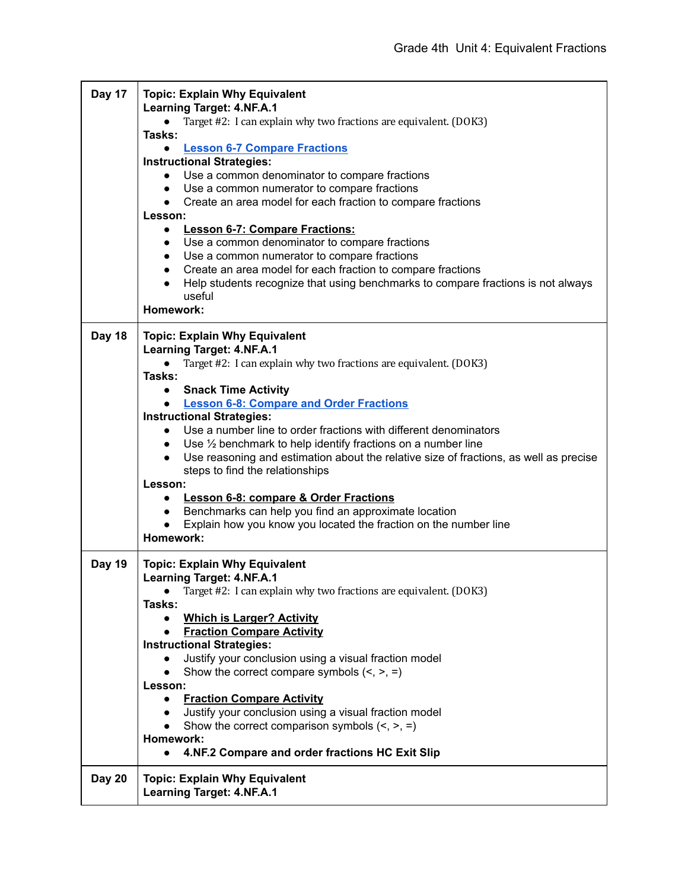| Day 17        | <b>Topic: Explain Why Equivalent</b><br><b>Learning Target: 4.NF.A.1</b><br>Target #2: I can explain why two fractions are equivalent. (DOK3)<br>Tasks:<br><b>Lesson 6-7 Compare Fractions</b><br>$\bullet$<br><b>Instructional Strategies:</b><br>Use a common denominator to compare fractions<br>$\bullet$<br>Use a common numerator to compare fractions<br>$\bullet$<br>• Create an area model for each fraction to compare fractions<br>Lesson:<br><b>Lesson 6-7: Compare Fractions:</b><br>$\bullet$<br>Use a common denominator to compare fractions<br>$\bullet$<br>Use a common numerator to compare fractions<br>$\bullet$<br>Create an area model for each fraction to compare fractions<br>$\bullet$<br>Help students recognize that using benchmarks to compare fractions is not always<br>$\bullet$<br>useful<br>Homework: |
|---------------|-------------------------------------------------------------------------------------------------------------------------------------------------------------------------------------------------------------------------------------------------------------------------------------------------------------------------------------------------------------------------------------------------------------------------------------------------------------------------------------------------------------------------------------------------------------------------------------------------------------------------------------------------------------------------------------------------------------------------------------------------------------------------------------------------------------------------------------------|
| <b>Day 18</b> | <b>Topic: Explain Why Equivalent</b>                                                                                                                                                                                                                                                                                                                                                                                                                                                                                                                                                                                                                                                                                                                                                                                                      |
|               | <b>Learning Target: 4.NF.A.1</b>                                                                                                                                                                                                                                                                                                                                                                                                                                                                                                                                                                                                                                                                                                                                                                                                          |
|               | Target #2: I can explain why two fractions are equivalent. (DOK3)<br>$\bullet$<br>Tasks:                                                                                                                                                                                                                                                                                                                                                                                                                                                                                                                                                                                                                                                                                                                                                  |
|               | <b>Snack Time Activity</b><br>$\bullet$                                                                                                                                                                                                                                                                                                                                                                                                                                                                                                                                                                                                                                                                                                                                                                                                   |
|               | • Lesson 6-8: Compare and Order Fractions                                                                                                                                                                                                                                                                                                                                                                                                                                                                                                                                                                                                                                                                                                                                                                                                 |
|               | <b>Instructional Strategies:</b><br>Use a number line to order fractions with different denominators<br>$\bullet$                                                                                                                                                                                                                                                                                                                                                                                                                                                                                                                                                                                                                                                                                                                         |
|               | Use $\frac{1}{2}$ benchmark to help identify fractions on a number line<br>$\bullet$                                                                                                                                                                                                                                                                                                                                                                                                                                                                                                                                                                                                                                                                                                                                                      |
|               | Use reasoning and estimation about the relative size of fractions, as well as precise<br>$\bullet$                                                                                                                                                                                                                                                                                                                                                                                                                                                                                                                                                                                                                                                                                                                                        |
|               | steps to find the relationships                                                                                                                                                                                                                                                                                                                                                                                                                                                                                                                                                                                                                                                                                                                                                                                                           |
|               | Lesson:<br><b>Lesson 6-8: compare &amp; Order Fractions</b><br>$\bullet$                                                                                                                                                                                                                                                                                                                                                                                                                                                                                                                                                                                                                                                                                                                                                                  |
|               | Benchmarks can help you find an approximate location<br>$\bullet$                                                                                                                                                                                                                                                                                                                                                                                                                                                                                                                                                                                                                                                                                                                                                                         |
|               | Explain how you know you located the fraction on the number line                                                                                                                                                                                                                                                                                                                                                                                                                                                                                                                                                                                                                                                                                                                                                                          |
|               | Homework:                                                                                                                                                                                                                                                                                                                                                                                                                                                                                                                                                                                                                                                                                                                                                                                                                                 |
| <b>Day 19</b> | <b>Topic: Explain Why Equivalent</b><br><b>Learning Target: 4.NF.A.1</b>                                                                                                                                                                                                                                                                                                                                                                                                                                                                                                                                                                                                                                                                                                                                                                  |
|               | Target #2: I can explain why two fractions are equivalent. (DOK3)                                                                                                                                                                                                                                                                                                                                                                                                                                                                                                                                                                                                                                                                                                                                                                         |
|               | Tasks:                                                                                                                                                                                                                                                                                                                                                                                                                                                                                                                                                                                                                                                                                                                                                                                                                                    |
|               | <b>Which is Larger? Activity</b><br>$\bullet$                                                                                                                                                                                                                                                                                                                                                                                                                                                                                                                                                                                                                                                                                                                                                                                             |
|               | <b>Fraction Compare Activity</b><br>$\bullet$<br><b>Instructional Strategies:</b>                                                                                                                                                                                                                                                                                                                                                                                                                                                                                                                                                                                                                                                                                                                                                         |
|               | Justify your conclusion using a visual fraction model<br>$\bullet$                                                                                                                                                                                                                                                                                                                                                                                                                                                                                                                                                                                                                                                                                                                                                                        |
|               | Show the correct compare symbols $(<, >, =)$<br>$\bullet$                                                                                                                                                                                                                                                                                                                                                                                                                                                                                                                                                                                                                                                                                                                                                                                 |
|               | Lesson:                                                                                                                                                                                                                                                                                                                                                                                                                                                                                                                                                                                                                                                                                                                                                                                                                                   |
|               | <b>Fraction Compare Activity</b><br>$\bullet$<br>Justify your conclusion using a visual fraction model<br>$\bullet$                                                                                                                                                                                                                                                                                                                                                                                                                                                                                                                                                                                                                                                                                                                       |
|               | Show the correct comparison symbols $(<, >, =)$<br>$\bullet$                                                                                                                                                                                                                                                                                                                                                                                                                                                                                                                                                                                                                                                                                                                                                                              |
|               | Homework:                                                                                                                                                                                                                                                                                                                                                                                                                                                                                                                                                                                                                                                                                                                                                                                                                                 |
|               | 4.NF.2 Compare and order fractions HC Exit Slip                                                                                                                                                                                                                                                                                                                                                                                                                                                                                                                                                                                                                                                                                                                                                                                           |
| <b>Day 20</b> | <b>Topic: Explain Why Equivalent</b><br><b>Learning Target: 4.NF.A.1</b>                                                                                                                                                                                                                                                                                                                                                                                                                                                                                                                                                                                                                                                                                                                                                                  |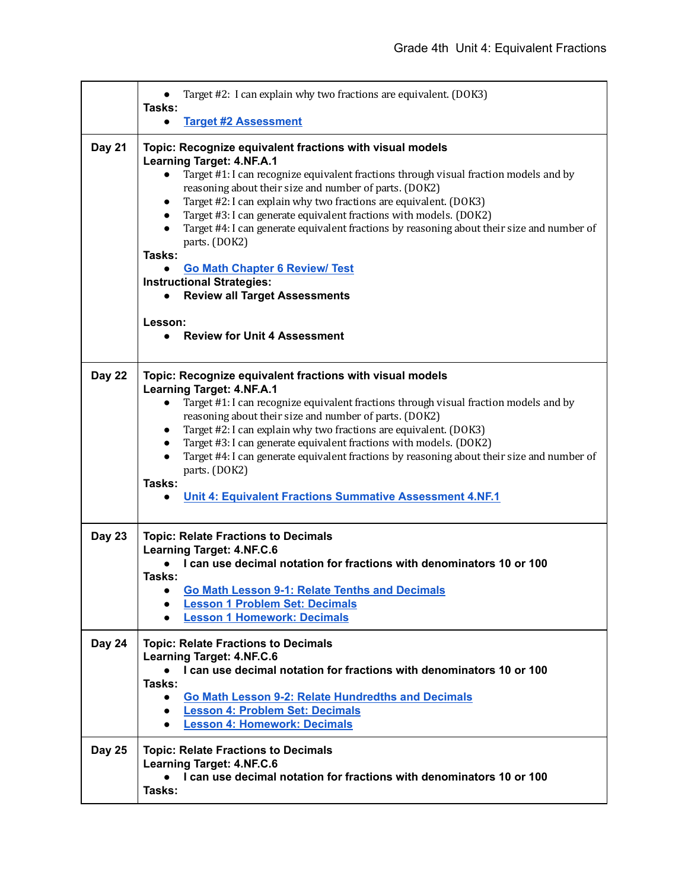|               | Target #2: I can explain why two fractions are equivalent. (DOK3)                                                                                                                                                                                                                                                                                                                                                                                                                                                                                                                                                                                                                                                                              |
|---------------|------------------------------------------------------------------------------------------------------------------------------------------------------------------------------------------------------------------------------------------------------------------------------------------------------------------------------------------------------------------------------------------------------------------------------------------------------------------------------------------------------------------------------------------------------------------------------------------------------------------------------------------------------------------------------------------------------------------------------------------------|
|               | Tasks:<br><b>Target #2 Assessment</b><br>$\bullet$                                                                                                                                                                                                                                                                                                                                                                                                                                                                                                                                                                                                                                                                                             |
| <b>Day 21</b> | Topic: Recognize equivalent fractions with visual models<br><b>Learning Target: 4.NF.A.1</b><br>Target #1: I can recognize equivalent fractions through visual fraction models and by<br>$\bullet$<br>reasoning about their size and number of parts. (DOK2)<br>Target #2: I can explain why two fractions are equivalent. (DOK3)<br>$\bullet$<br>Target #3: I can generate equivalent fractions with models. (DOK2)<br>$\bullet$<br>Target #4: I can generate equivalent fractions by reasoning about their size and number of<br>$\bullet$<br>parts. (DOK2)<br>Tasks:<br><b>Go Math Chapter 6 Review/ Test</b><br><b>Instructional Strategies:</b><br><b>Review all Target Assessments</b><br>Lesson:<br><b>Review for Unit 4 Assessment</b> |
| Day 22        | Topic: Recognize equivalent fractions with visual models<br><b>Learning Target: 4.NF.A.1</b>                                                                                                                                                                                                                                                                                                                                                                                                                                                                                                                                                                                                                                                   |
|               | Target #1: I can recognize equivalent fractions through visual fraction models and by<br>$\bullet$<br>reasoning about their size and number of parts. (DOK2)                                                                                                                                                                                                                                                                                                                                                                                                                                                                                                                                                                                   |
|               | Target #2: I can explain why two fractions are equivalent. (DOK3)<br>$\bullet$<br>Target #3: I can generate equivalent fractions with models. (DOK2)<br>$\bullet$                                                                                                                                                                                                                                                                                                                                                                                                                                                                                                                                                                              |
|               | Target #4: I can generate equivalent fractions by reasoning about their size and number of<br>$\bullet$<br>parts. (DOK2)                                                                                                                                                                                                                                                                                                                                                                                                                                                                                                                                                                                                                       |
|               | Tasks:                                                                                                                                                                                                                                                                                                                                                                                                                                                                                                                                                                                                                                                                                                                                         |
|               | Unit 4: Equivalent Fractions Summative Assessment 4.NF.1<br>$\bullet$                                                                                                                                                                                                                                                                                                                                                                                                                                                                                                                                                                                                                                                                          |
| <b>Day 23</b> | <b>Topic: Relate Fractions to Decimals</b><br><b>Learning Target: 4.NF.C.6</b><br>I can use decimal notation for fractions with denominators 10 or 100<br>Tasks:<br>Go Math Lesson 9-1: Relate Tenths and Decimals<br><b>Lesson 1 Problem Set: Decimals</b><br>$\bullet$<br><b>Lesson 1 Homework: Decimals</b><br>$\bullet$                                                                                                                                                                                                                                                                                                                                                                                                                    |
| Day 24        | <b>Topic: Relate Fractions to Decimals</b><br><b>Learning Target: 4.NF.C.6</b>                                                                                                                                                                                                                                                                                                                                                                                                                                                                                                                                                                                                                                                                 |
|               | I can use decimal notation for fractions with denominators 10 or 100                                                                                                                                                                                                                                                                                                                                                                                                                                                                                                                                                                                                                                                                           |
|               | Tasks:<br>Go Math Lesson 9-2: Relate Hundredths and Decimals<br>$\bullet$                                                                                                                                                                                                                                                                                                                                                                                                                                                                                                                                                                                                                                                                      |
|               | <b>Lesson 4: Problem Set: Decimals</b><br>$\bullet$<br><b>Lesson 4: Homework: Decimals</b><br>$\bullet$                                                                                                                                                                                                                                                                                                                                                                                                                                                                                                                                                                                                                                        |
| <b>Day 25</b> | <b>Topic: Relate Fractions to Decimals</b><br><b>Learning Target: 4.NF.C.6</b><br>I can use decimal notation for fractions with denominators 10 or 100<br>Tasks:                                                                                                                                                                                                                                                                                                                                                                                                                                                                                                                                                                               |